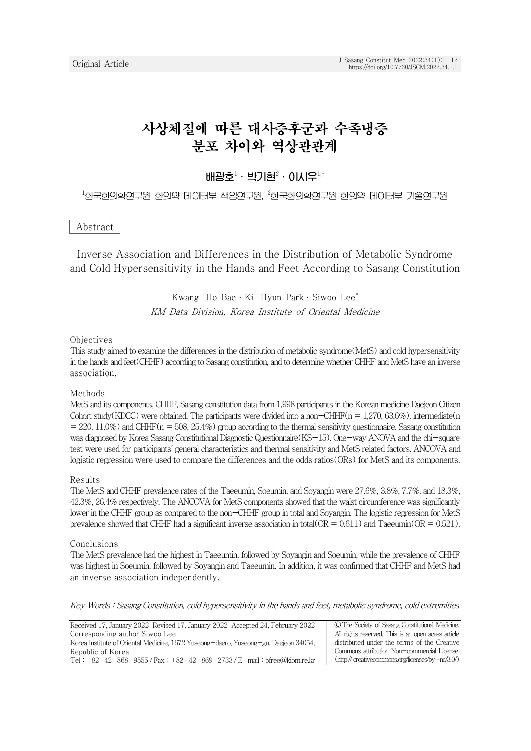# 사상체질에 따른 대사증후군과 수족냉증 분포 차이와 역상관관계

배광호 $1 \cdot 1$ 박기현 $2 \cdot 01$ 시우 $1, *$ 

<sup>1</sup>한국한의학연구원 한의약 데이터부 책임연구원, <sup>2</sup>한국한의학연구원 한의약 데이터부 기술연구원

Abstract

Inverse Association and Differences in the Distribution of Metabolic Syndrome and Cold Hypersensitivity in the Hands and Feet According to Sasang Constitution

> Kwang-Ho Bae․Ki-Hyun Park․Siwoo Lee\* KM Data Division, Korea Institute of Oriental Medicine

#### Objectives

This study aimed to examine the differences in the distribution of metabolic syndrome(MetS) and cold hypersensitivity in the hands and feet(CHHF) according to Sasang constitution, and to determine whether CHHF and MetS have an inverse association.

#### Methods

MetS and its components, CHHF, Sasang constitution data from 1,998 participants in the Korean medicine Daejeon Citizen Cohort study(KDCC) were obtained. The participants were divided into a non-CHHF( $n = 1,270, 63.6\%$ ), intermediate(n  $= 220, 11.0\%)$  and CHHF(n = 508, 25.4%) group according to the thermal sensitivity questionnaire. Sasang constitution was diagnosed by Korea Sasang Constitutional Diagnostic Questionnaire(KS-15). One-way ANOVA and the chi-square test were used for participants' general characteristics and thermal sensitivity and MetS related factors. ANCOVA and logistic regression were used to compare the differences and the odds ratios(ORs) for MetS and its components.

#### Results

The MetS and CHHF prevalence rates of the Taeeumin, Soeumin, and Soyangin were 27.6%, 3.8%, 7.7%, and 18.3%, 42.3%, 26.4% respectively. The ANCOVA for MetS components showed that the waist circumference was significantly lower in the CHHF group as compared to the non-CHHF group in total and Soyangin. The logistic regression for MetS prevalence showed that CHHF had a significant inverse association in total( $OR = 0.611$ ) and Taeeumin( $OR = 0.521$ ).

#### Conclusions

The MetS prevalence had the highest in Taeeumin, followed by Soyangin and Soeumin, while the prevalence of CHHF was highest in Soeumin, followed by Soyangin and Taeeumin. In addition, it was confirmed that CHHF and MetS had an inverse association independently.

Key Words : Sasang Constitution, cold hypersensitivity in the hands and feet, metabolic syndrome, cold extremities

| Received 17, January 2022 Revised 17, January 2022 Accepted 24, February 2022        | © The Society of Sasang Constitutional Medicine.   |
|--------------------------------------------------------------------------------------|----------------------------------------------------|
| Corresponding author Siwoo Lee                                                       | All rights reserved. This is an open acess article |
| Korea Institute of Oriental Medicine, 1672 Yuseong-daero, Yuseong-gu, Daejeon 34054, | distributed under the terms of the Creative        |
| Republic of Korea                                                                    | Commons attribution Non-commercial License         |
| Tel: $+82-42-868-9555$ / Fax: $+82-42-869-2733$ / E-mail: bfree@kiom.re.kr           |                                                    |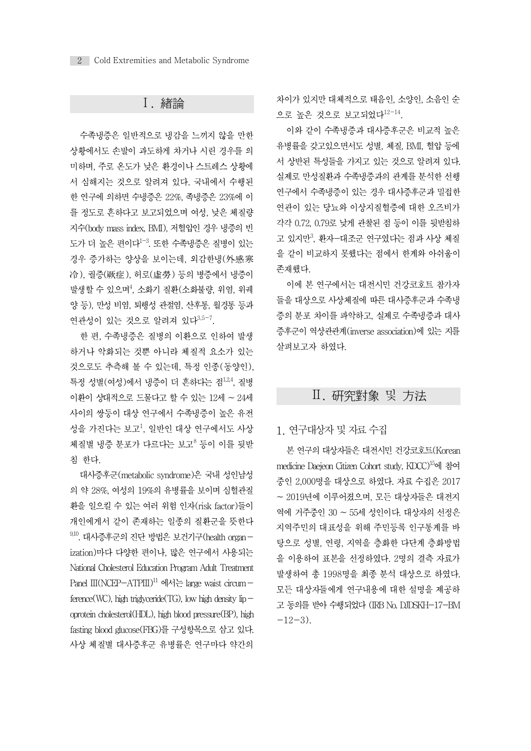# Ⅰ. 緖論

수족냉증은 일반적으로 냉감을 느끼지 않을 만한 상황에서도 손발이 과도하게 차거나 시린 경우를 의 미하며, 주로 온도가 낮은 환경이나 스트레스 상황에 서 심해지는 것으로 알려져 있다. 국내에서 수행된 한 연구에 의하면 수냉증은 22%, 족냉증은 23%에 이 를 정도로 흔하다고 보고되었으며 여성, 낮은 체질량 지수(body mass index, BMI), 저혈압인 경우 냉증의 빈 도가 더 높은 편이다<sup>1–3</sup>. 또한 수족냉증은 질병이 있는 ファン <sup>고 있시단</sup>, \* 경우 증가하는 양상을 보이는데, 외감한냉(外感寒 冷), 궐증(厥症), 허로(虛勞) 등의 병증에서 냉증이 발생할 수 있으며<sup>4</sup>, 소화기 질환(소화불량, 위염, 위궤 Tamelling Pil에 폰 또 양 등), 만성 비염, 퇴행성 관절염, 산후통, 월경통 등과 연관성이 있는 것으로 알려져 있다<sup>3,5-7</sup>.

한 편, 수족냉증은 질병의 이환으로 인하여 발생 하거나 악화되는 것뿐 아니라 체질적 요소가 있는 것으로도 추측해 볼 수 있는데, 특정 인종(동양인), 특정 성별(여성)에서 냉증이 더 흔하다는 점<sup>1,24</sup>, 질병 이환이 상대적으로 드물다고 할 수 있는 12세 ~ 24세 사이의 쌍둥이 대상 연구에서 수족냉증이 높은 유전 성을 가진다는 보고<sup>1</sup> , 일반인 대상 연구에서도 사상 체질별 냉증 분포가 다르다는 보고<sup>8</sup> 등이 이를 뒷받 침 한다.

대사증후군(metabolic syndrome)은 국내 성인남성 의 약 28%, 여성의 19%의 유병률을 보이며 심혈관질 환을 일으킬 수 있는 여러 위험 인자(risk factor)들이 개인에게서 같이 존재하는 일종의 질환군을 뜻한다  $9,10$ . 대사증후군의 진단 방법은 보건기구(health organization)마다 다양한 편이나, 많은 연구에서 사용되는 National Cholesterol Education Program Adult Treatment Panel  $III(NCEP–ATPIII)^{11}$  에서는 large waist circum – ference(WC), high triglyceride(TG), low high density lip $$ oprotein cholesterol(HDL), high blood pressure(BP), high fasting blood glucose(FBG)를 구성항목으로 삼고 있다. 사상 체질별 대사증후군 유병률은 연구마다 약간의 차이가 있지만 대체적으로 태음인, 소양인, 소음인 순 으로 높은 것으로 보고되었다<sup>12-14</sup>.

이와 같이 수족냉증과 대사증후군은 비교적 높은 유병률을 갖고있으면서도 성별, 체질, BMI, 혈압 등에 서 상반된 특성들을 가지고 있는 것으로 알려져 있다. 실제로 만성질환과 수족냉증과의 관계를 분석한 선행 연구에서 수족냉증이 있는 경우 대사증후군과 밀접한 연관이 있는 당뇨와 이상지질혈증에 대한 오즈비가 각각 0.72, 0.79로 낮게 관찰된 점 등이 이를 뒷받침하 고 있지만<sup>3</sup>, 환자—대조군 연구였다는 점과 사상 체질 을 같이 비교하지 못했다는 점에서 한계와 아쉬움이 존재했다.

이에 본 연구에서는 대전시민 건강코호트 참가자 들을 대상으로 사상체질에 따른 대사증후군과 수족냉 증의 분포 차이를 파악하고, 실제로 수족냉증과 대사 증후군이 역상관관계(inverse association)에 있는 지를 살펴보고자 하였다.

# Ⅱ. 硏究對象 및 方法

### 1. 연구대상자 및 자료 수집

본 연구의 대상자들은 대전시민 건강코호트(Korean medicine Daejeon Citizen Cohort study, KDCC)<sup>15</sup>에 참여 중인 2,000명을 대상으로 하였다. 자료 수집은 2017 ~ 2019년에 이루어졌으며, 모든 대상자들은 대전지 역에 거주중인 30 ~ 55세 성인이다. 대상자의 선정은 지역주민의 대표성을 위해 주민등록 인구통계를 바 탕으로 성별, 연령, 지역을 층화한 다단계 층화방법 을 이용하여 표본을 선정하였다. 2명의 결측 자료가 발생하여 총 1998명을 최종 분석 대상으로 하였다. 모든 대상자들에게 연구내용에 대한 설명을 제공하 고 동의를 받아 수행되었다 (IRB No. DJDSKH-17-BM  $-12-3$ ).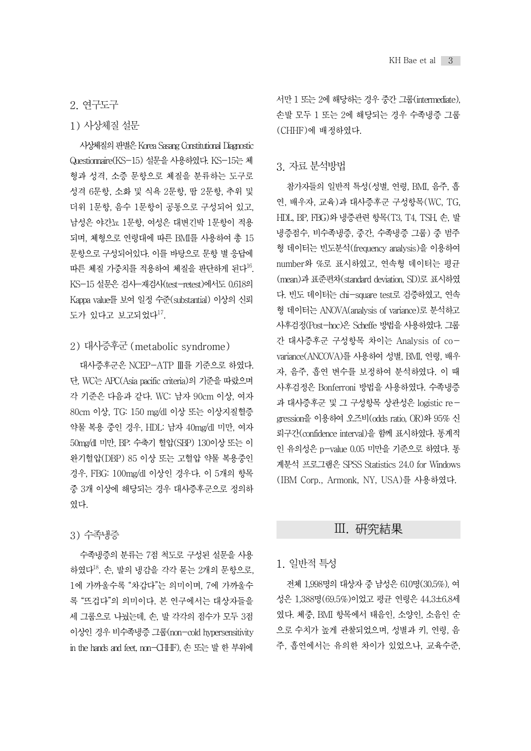# 2. 연구도구

### 1) 사상체질 설문

사상체질의판별은Korea Sasang Constitutional Diagnostic Questionnaire(KS-15) 설문을 사용하였다. KS-15는 체 형과 성격, 소증 문항으로 체질을 분류하는 도구로 성격 6문항, 소화 및 식욕 2문항, 땀 2문항, 추위 및 더위 1문항, 음수 1문항이 공통으로 구성되어 있고, 남성은 야간뇨 1문항, 여성은 대변긴박 1문항이 적용 되며, 체형으로 연령대에 따른 BMI를 사용하여 총 15 문항으로 구성되어있다. 이를 바탕으로 문항 별 응답에 따른 체질 가중치를 적용하여 체질을 판단하게 된다<sup>16</sup>. KS-15 설문은 검사-재검사(test-retest)에서도 0.618의 Kappa value를 보여 일정 수준(substantial) 이상의 신뢰 도가 있다고 보고되었다<sup>17</sup>.

### 2) 대사증후군 (metabolic syndrome)

대사증후군은 NCEP-ATP Ⅲ를 기준으로 하였다. 단, WC는 APC(Asia pacific criteria)의 기준을 따랐으며 각 기준은 다음과 같다. WC: 남자 90cm 이상, 여자 80cm 이상, TG: 150 mg/dl 이상 또는 이상지질혈증 약물 복용 중인 경우, HDL: 남자 40mg/dl 미만, 여자 50mg/dl 미만, BP: 수축기 혈압(SBP) 130이상 또는 이 완기혈압(DBP) 85 이상 또는 고혈압 약물 복용중인 경우, FBG: 100mg/dl 이상인 경우다. 이 5개의 항목 중 3개 이상에 해당되는 경우 대사증후군으로 정의하 였다.

### 3) 수족냉증

수족냉증의 분류는 7점 척도로 구성된 설문을 사용 하였다<sup>18</sup>. 손, 발의 냉감을 각각 묻는 2개의 문항으로, 1에 가까울수록 "차갑다"는 의미이며, 7에 가까울수 록 "뜨겁다"의 의미이다. 본 연구에서는 대상자들을 세 그룹으로 나눴는데, 손, 발 각각의 점수가 모두 3점 이상인 경우 비수족냉증 그룹(non-cold hypersensitivity in the hands and feet, non-CHHF), 손또는발한부위에 서만 1 또는 2에 해당하는 경우 중간 그룹(intermediate), 손발 모두 1 또는 2에 해당되는 경우 수족냉증 그룹 (CHHF)에 배정하였다.

### 3. 자료 분석방법

참가자들의 일반적 특성(성별, 연령, BMI, 음주, 흡 연, 배우자, 교육)과 대사증후군 구성항목(WC, TG, HDL, BP, FBG)와 냉증관련 항목(T3, T4, TSH, 손, 발 냉증점수, 비수족냉증, 중간, 수족냉증 그룹) 중 범주 형 데이터는 빈도분석(frequency analysis)을 이용하여 number와 %로 표시하였고, 연속형 데이터는 평균 (mean)과 표준편차(standard deviation, SD)로 표시하였 다. 빈도 데이터는 chi-square test로 검증하였고, 연속 형 데이터는 ANOVA(analysis of variance)로 분석하고 사후검정(Post-hoc)은 Scheffe 방법을사용하였다. 그룹 간 대사증후군 구성항목 차이는 Analysis of covariance(ANCOVA)를 사용하여 성별, BMI, 연령, 배우 자, 음주, 흡연 변수를 보정하여 분석하였다. 이 때 사후검정은 Bonferroni 방법을 사용하였다. 수족냉증 과 대사증후군 및 그 구성항목 상관성은 logistic regression을 이용하여 오즈비(odds ratio, OR)와 95% 신 뢰구간(confidence interval)을 함께 표시하였다. 통계적 인 유의성은 p-value 0.05 미만을 기준으로 하였다. 통 계분석 프로그램은 SPSS Statistics 24.0 for Windows (IBM Corp., Armonk, NY, USA)를 사용하였다.

### Ⅲ. 硏究結果

### 1. 일반적 특성

전체 1,998명의 대상자 중 남성은 610명(30.5%), 여 성은 1,388명(69.5%)이었고 평균 연령은 44.3±6.8세 였다. 체중, BMI 항목에서 태음인, 소양인, 소음인 순 으로 수치가 높게 관찰되었으며, 성별과 키, 연령, 음 주, 흡연에서는 유의한 차이가 있었으나, 교육수준,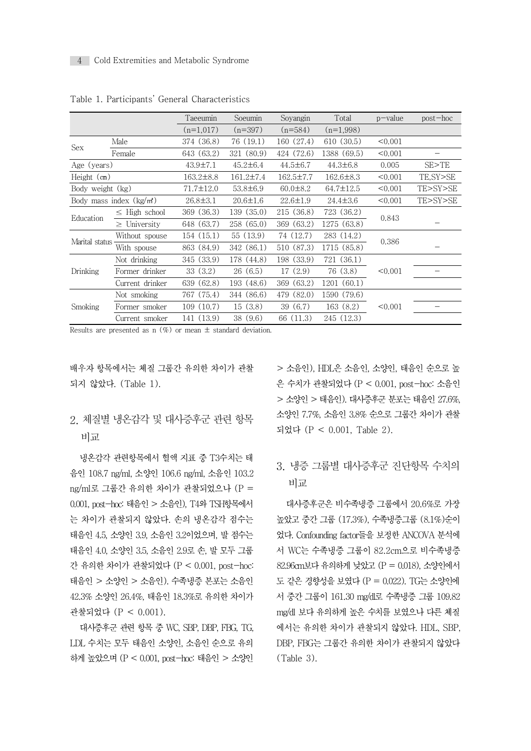|                  |                            | Taeeumin        | Soeumin         | Soyangin        | Total           | $p$ value | $post-hoc$ |
|------------------|----------------------------|-----------------|-----------------|-----------------|-----------------|-----------|------------|
|                  |                            | $(n=1,017)$     | $(n=397)$       | $(n=584)$       | $(n=1,998)$     |           |            |
|                  | Male                       | 374 (36.8)      | 76 (19.1)       | 160 (27.4)      | 610 (30.5)      | < 0.001   |            |
| Sex              | Female                     | 643 (63.2)      | 321 (80.9)      | 424 (72.6)      | 1388 (69.5)     | < 0.001   |            |
| Age (years)      |                            | $43.9 \pm 7.1$  | $45.2 \pm 6.4$  | $44.5 \pm 6.7$  | $44.3 \pm 6.8$  | 0.005     | SE > TE    |
| Height (cm)      |                            | $163.2 \pm 8.8$ | $161.2 \pm 7.4$ | $162.5 \pm 7.7$ | $162.6 \pm 8.3$ | < 0.001   | TE, SY>SE  |
| Body weight (kg) |                            | $71.7 \pm 12.0$ | $53.8 \pm 6.9$  | $60.0 \pm 8.2$  | $64.7 \pm 12.5$ | < 0.001   | TE>SY>SE   |
|                  | Body mass index $(kg/m^2)$ | $26.8 \pm 3.1$  | $20.6 \pm 1.6$  | $22.6 \pm 1.9$  | $24.4 \pm 3.6$  | < 0.001   | TE>SY>SE   |
| Education        | $\leq$ High school         | 369 (36.3)      | 139(35.0)       | 215 (36.8)      | 723 (36.2)      | 0.843     |            |
|                  | $\geq$ University          | 648 (63.7)      | 258 (65.0)      | 369 (63.2)      | 1275 (63.8)     |           |            |
| Marital status   | Without spouse             | 154(15.1)       | 55(13.9)        | 74 (12.7)       | 283 (14.2)      | 0.386     |            |
|                  | With spouse                | 863 (84.9)      | 342 (86.1)      | 510 (87.3)      | 1715 (85.8)     |           |            |
|                  | Not drinking               | 345 (33.9)      | 178 (44.8)      | 198 (33.9)      | 721 (36.1)      |           |            |
| Drinking         | Former drinker             | 33(3.2)         | 26(6.5)         | 17(2.9)         | 76(3.8)         | < 0.001   |            |
|                  | Current drinker            | 639 (62.8)      | 193 (48.6)      | 369 (63.2)      | 1201 (60.1)     |           |            |
| Smoking          | Not smoking                | 767 (75.4)      | 344 (86.6)      | 479 (82.0)      | 1590 (79.6)     |           |            |
|                  | Former smoker              | 109(10.7)       | 15(3.8)         | 39(6.7)         | 163(8.2)        | < 0.001   |            |
|                  | Current smoker             | 141 (13.9)      | 38(9.6)         | 66 (11.3)       | 245 (12.3)      |           |            |

Table 1. Participants' General Characteristics

Results are presented as n  $(\%)$  or mean  $\pm$  standard deviation.

배우자 항목에서는 체질 그룹간 유의한 차이가 관찰 되지 않았다. (Table 1).

# 2. 체질별 냉온감각 및 대사증후군 관련 항목 비교

냉온감각 관련항목에서 혈액 지표 중 T3수치는 태 음인 108.7 ng/ml, 소양인 106.6 ng/ml, 소음인 103.2 ng/ml로 그룹간 유의한 차이가 관찰되었으나 (P = 0.001, post-hoc: 태음인> 소음인), T4와TSH항목에서 는 차이가 관찰되지 않았다. 손의 냉온감각 점수는 태음인 4.5, 소양인 3.9, 소음인 3.2이었으며, 발 점수는 태음인 4.0, 소양인 3.5, 소음인 2.9로 손, 발 모두 그룹 간 유의한 차이가 관찰되었다 (P < 0.001, post-hoc: 태음인 > 소양인 > 소음인). 수족냉증 본포는 소음인 42.3% 소양인 26.4%, 태음인 18.3%로 유의한 차이가 관찰되었다 (P < 0.001).

대사증후군 관련 항목 중 WC, SBP, DBP, FBG, TG, LDL 수치는 모두 태음인 소양인, 소음인 순으로 유의 하게높았으며(P < 0.001, post-hoc: 태음인 > 소양인

> 소음인), HDL은 소음인, 소양인, 태음인 순으로 높 은 수치가 관찰되었다 (P < 0.001, post-hoc: 소음인 > 소양인 > 태음인). 대사증후군 분포는 태음인 27.6%, 소양인 7.7%, 소음인 3.8% 순으로 그룹간 차이가 관찰 되었다 (P < 0.001, Table 2).

# 3. 냉증 그룹별 대사증후군 진단항목 수치의 비교

대사증후군은 비수족냉증 그룹에서 20.6%로 가장 높았고 중간 그룹 (17.3%), 수족냉증그룹 (8.1%)순이 었다. Confounding factor들을 보정한 ANCOVA 분석에 서 WC는 수족냉증 그룹이 82.2cm으로 비수족냉증 82.96cm보다 유의하게 낮았고 (P = 0.018), 소양인에서 도 같은 경향성을 보였다 (P = 0.022). TG는 소양인에 서 중간 그룹이 161.30 mg/dl로 수족냉증 그룹 109.82 mg/dl 보다 유의하게 높은 수치를 보였으나 다른 체질 에서는 유의한 차이가 관찰되지 않았다. HDL, SBP, DBP, FBG는 그룹간 유의한 차이가 관찰되지 않았다 (Table 3).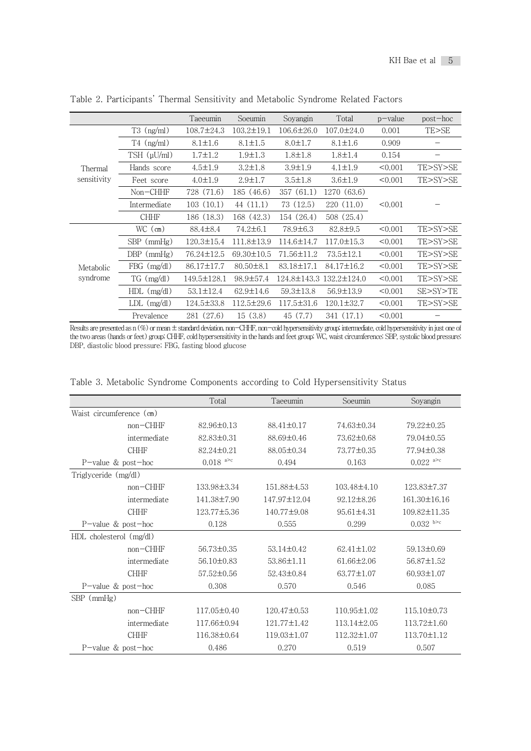|             |                      | Taeeumin         | Soeumin          | Soyangin         | Total                   | $p$ – value | $post-hoc$ |
|-------------|----------------------|------------------|------------------|------------------|-------------------------|-------------|------------|
|             | $T3$ (ng/ml)         | $108.7 \pm 24.3$ | $103.2 \pm 19.1$ | $106.6 \pm 26.0$ | $107.0 \pm 24.0$        | 0.001       | TE>SE      |
|             | $T4$ (ng/ml)         | $8.1 \pm 1.6$    | $8.1 \pm 1.5$    | $8.0 \pm 1.7$    | $8.1 \pm 1.6$           | 0.909       |            |
|             | $TSH$ ( $\mu U/ml$ ) | $1.7 \pm 1.2$    | $1.9 \pm 1.3$    | $1.8 \pm 1.8$    | $1.8 \pm 1.4$           | 0.154       |            |
| Thermal     | Hands score          | $4.5 \pm 1.9$    | $3.2 \pm 1.8$    | $3.9 \pm 1.9$    | $4.1 \pm 1.9$           | < 0.001     | TE>SY>SE   |
| sensitivity | Feet score           | $4.0 \pm 1.9$    | $2.9 \pm 1.7$    | $3.5 \pm 1.8$    | $3.6 \pm 1.9$           | < 0.001     | TE>SY>SE   |
|             | $Non-CHHF$           | 728 (71.6)       | 185 (46.6)       | 357(61.1)        | 1270 (63.6)             |             |            |
|             | Intermediate         | 103(10.1)        | 44 (11.1)        | 73 (12.5)        | 220(11.0)               | < 0.001     |            |
|             | <b>CHHF</b>          | 186 (18.3)       | 168 (42.3)       | 154 (26.4)       | 508(25.4)               |             |            |
|             | $WC$ (cm)            | 88.4±8.4         | $74.2 \pm 6.1$   | 78.9±6.3         | 82.8±9.5                | < 0.001     | TE>SY>SE   |
|             | $SBP$ ( $mmHg$ )     | $120.3 \pm 15.4$ | $111.8 \pm 13.9$ | 114.6±14.7       | $117.0 \pm 15.3$        | < 0.001     | TE>SY>SE   |
|             | $DBP$ ( $mmHg$ )     | 76.24±12.5       | 69.30±10.5       | 71.56±11.2       | $73.5 \pm 12.1$         | < 0.001     | TE>SY>SE   |
| Metabolic   | $FBG$ (mg/dl)        | 86.17±17.7       | $80.50 \pm 8.1$  | 83.18±17.1       | 84.17±16.2              | < 0.001     | TE>SY>SE   |
| syndrome    | $TG \, (mg/dl)$      | 149.5±128.1      | 98.9±57.4        |                  | 124.8±143.3 132.2±124.0 | < 0.001     | TE>SY>SE   |
|             | $HDL$ (mg/dl)        | $53.1 \pm 12.4$  | $62.9 \pm 14.6$  | $59.3 \pm 13.8$  | $56.9 \pm 13.9$         | < 0.001     | SE>SY>TE   |
|             | $LDL$ (mg/dl)        | $124.5 \pm 33.8$ | $112.5 \pm 29.6$ | $117.5 \pm 31.6$ | $120.1 \pm 32.7$        | < 0.001     | TE>SY>SE   |
|             | Prevalence           | 281 (27.6)       | 15(3.8)          | 45 (7.7)         | 341 (17.1)              | < 0.001     |            |

Table 2. Participants' Thermal Sensitivity and Metabolic Syndrome Related Factors

Results are presented as n (%) or mean ± standard deviation. non-CHHF, non-cold hypersensitivity group; intermediate, cold hypersensitivity in just one of the two areas (hands or feet) group; CHHF, cold hypersensitivity in the hands and feet group; WC, waist circumference; SBP, systolic blood pressure; DBP, diastolic blood pressure; FBG, fasting blood glucose

|                          |                         | Total                     | Taeeumin          | Soeumin           | Soyangin            |
|--------------------------|-------------------------|---------------------------|-------------------|-------------------|---------------------|
| Waist circumference (cm) |                         |                           |                   |                   |                     |
|                          | $non-CHHF$              | $82.96 \pm 0.13$          | 88.41±0.17        | 74.63±0.34        | 79.22±0.25          |
|                          | intermediate            | 82.83±0.31                | $88.69 \pm 0.46$  | 73.62±0.68        | 79.04±0.55          |
|                          | <b>CHHF</b>             | 82.24±0.21                | 88.05±0.34        | 73.77±0.35        | 77.94±0.38          |
| P-value & post-hoc       |                         | $0.018$ <sup>a&gt;c</sup> | 0.494             | 0.163             | $0.022$ a>c         |
| Triglyceride (mg/dl)     |                         |                           |                   |                   |                     |
|                          | $non-CHHF$              | 133.98±3.34               | 151.88±4.53       | $103.48\pm4.10$   | 123.83±7.37         |
|                          | intermediate            | 141.38±7.90               | 147.97±12.04      | $92.12 \pm 8.26$  | 161.30±16.16        |
|                          | <b>CHHF</b>             | 123.77±5.36               | 140.77±9.08       | $95.61 \pm 4.31$  | 109.82±11.35        |
| P-value $&$ post-hoc     |                         | 0.128                     | 0.555             | 0.299             | $0.032$ b $\degree$ |
|                          | HDL cholesterol (mg/dl) |                           |                   |                   |                     |
|                          | $non-CHHF$              | 56.73±0.35                | $53.14 \pm 0.42$  | $62.41 \pm 1.02$  | $59.13 \pm 0.69$    |
|                          | intermediate            | $56.10 \pm 0.83$          | 53.86±1.11        | $61.66 \pm 2.06$  | 56.87±1.52          |
|                          | <b>CHHF</b>             | 57.52±0.56                | 52.43±0.84        | $63.77 \pm 1.07$  | $60.93 \pm 1.07$    |
| P-value $&$ post-hoc     |                         | 0.308                     | 0.570             | 0.546             | 0.085               |
| $SBP$ ( $mmHg$ )         |                         |                           |                   |                   |                     |
|                          | $non-CHHF$              | $117.05\pm0.40$           | $120.47 \pm 0.53$ | 110.95±1.02       | $115.10\pm0.73$     |
|                          | intermediate            | 117.66±0.94               | 121.77±1.42       | $113.14 \pm 2.05$ | $113.72 \pm 1.60$   |
|                          | <b>CHHF</b>             | 116.38±0.64               | $119.03 \pm 1.07$ | 112.32±1.07       | 113.70±1.12         |
| P-value $&$ post-hoc     |                         | 0.486                     | 0.270             | 0.519             | 0.507               |

Table 3. Metabolic Syndrome Components according to Cold Hypersensitivity Status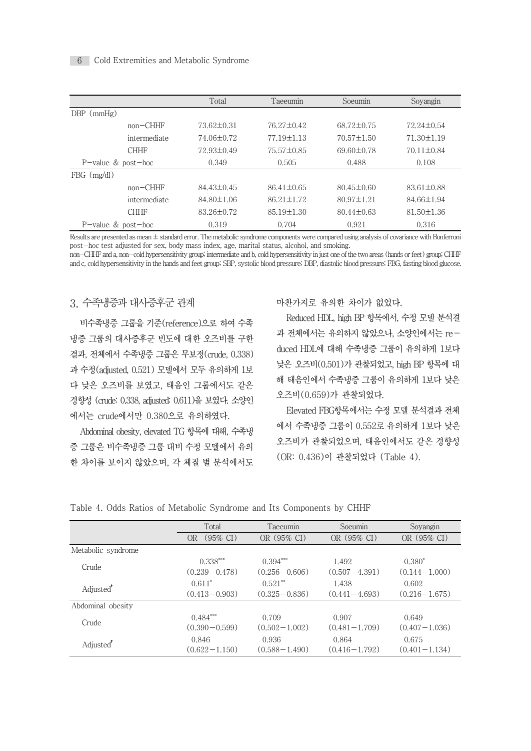### 6 Cold Extremities and Metabolic Syndrome

|                       |              | Total          | Taeeumin         | Soeumin          | Soyangin         |
|-----------------------|--------------|----------------|------------------|------------------|------------------|
| $DBP$ ( $mmHg$ )      |              |                |                  |                  |                  |
|                       | $non-CHHF$   | 73.62±0.31     | 76.27±0.42       | 68.72±0.75       | 72.24±0.54       |
|                       | intermediate | 74.06±0.72     | 77.19±1.13       | $70.57 \pm 1.50$ | $71.30 \pm 1.19$ |
|                       | <b>CHHF</b>  | 72.93±0.49     | 75.57±0.85       | $69.60 \pm 0.78$ | $70.11 \pm 0.84$ |
| $P$ -value & post-hoc |              | 0.349          | 0.505            | 0.488            | 0.108            |
| $FBG$ (mg/dl)         |              |                |                  |                  |                  |
|                       | $non-CHHF$   | $84.43\pm0.45$ | $86.41 \pm 0.65$ | $80.45 \pm 0.60$ | $83.61 \pm 0.88$ |
|                       | intermediate | 84.80±1.06     | $86.21 \pm 1.72$ | $80.97 \pm 1.21$ | 84.66±1.94       |
|                       | <b>CHHF</b>  | 83.26±0.72     | $85.19 \pm 1.30$ | $80.44 \pm 0.63$ | $81.50 \pm 1.36$ |
| $P$ -value & post-hoc |              | 0.319          | 0.704            | 0.921            | 0.316            |

Results are presented as mean ± standard error. The metabolic syndrome components were compared using analysis of covariance with Bonferroni post-hoc test adjusted for sex, body mass index, age, marital status, alcohol, and smoking.

non-CHHF and a, non-cold hypersensitivity group; intermediate and b, cold hypersensitivity in just one of the two areas (hands or feet) group; CHHF and c, cold hypersensitivity in the hands and feet group; SBP, systolic blood pressure; DBP, diastolic blood pressure; FBG, fasting blood glucose.

### 3. 수족냉증과 대사증후군 관계

비수족냉증 그룹을 기준(reference)으로 하여 수족 냉증 그룹의 대사증후군 빈도에 대한 오즈비를 구한 결과, 전체에서 수족냉증 그룹은 무보정(crude, 0.338) 과 수정(adjusted, 0.521) 모델에서 모두 유의하게 1보 다 낮은 오즈비를 보였고, 태음인 그룹에서도 같은 경향성 (crude: 0.338, adjusted: 0.611)을 보였다. 소양인 에서는 crude에서만 0.380으로 유의하였다.

Abdominal obesity, elevated TG 항목에 대해, 수족냉 증 그룹은 비수족냉증 그룹 대비 수정 모델에서 유의 한 차이를 보이지 않았으며, 각 체질 별 분석에서도

#### 마찬가지로 유의한 차이가 없었다.

Reduced HDL, high BP 항목에서, 수정 모델 분석결 과 전체에서는 유의하지 않았으나, 소양인에서는 reduced HDL에 대해 수족냉증 그룹이 유의하게 1보다 낮은 오즈비(0.501)가 관찰되었고, high BP 항목에 대 해 태음인에서 수족냉증 그룹이 유의하게 1보다 낮은 오즈비(0.659)가 관찰되었다.

Elevated FBG항목에서는 수정 모델 분석결과 전체 에서 수족냉증 그룹이 0.552로 유의하게 1보다 낮은 오즈비가 관찰되었으며, 태음인에서도 같은 경향성 (OR: 0.436)이 관찰되었다 (Table 4).

|  | Table 4. Odds Ratios of Metabolic Syndrome and Its Components by CHHF |  |  |  |
|--|-----------------------------------------------------------------------|--|--|--|
|  |                                                                       |  |  |  |

|                       | Total                           | Taeeumin                        | Soeumin                    | Soyangin                      |  |
|-----------------------|---------------------------------|---------------------------------|----------------------------|-------------------------------|--|
|                       | $(95\% \text{ CI})$<br>0R       | OR (95% CI)                     | OR (95% CI)                | OR (95% CI)                   |  |
| Metabolic syndrome    |                                 |                                 |                            |                               |  |
| Crude                 | $0.338***$<br>$(0.239 - 0.478)$ | $0.394***$<br>$(0.256 - 0.606)$ | 1.492<br>$(0.507 - 4.391)$ | $0.380*$<br>$(0.144 - 1.000)$ |  |
| Adjusted <sup>*</sup> | $0.611*$<br>$(0.413 - 0.903)$   | $0.521**$<br>$(0.325 - 0.836)$  | 1.438<br>$(0.441 - 4.693)$ | 0.602<br>$(0.216 - 1.675)$    |  |
| Abdominal obesity     |                                 |                                 |                            |                               |  |
| Crude                 | $0.484***$<br>$(0.390 - 0.599)$ | 0.709<br>$(0.502 - 1.002)$      | 0.907<br>$(0.481 - 1.709)$ | 0.649<br>$(0.407 - 1.036)$    |  |
| Adjusted <sup>*</sup> | 0.846<br>$(0.622 - 1.150)$      | 0.936<br>$(0.588 - 1.490)$      | 0.864<br>$(0.416 - 1.792)$ | 0.675<br>$(0.401 - 1.134)$    |  |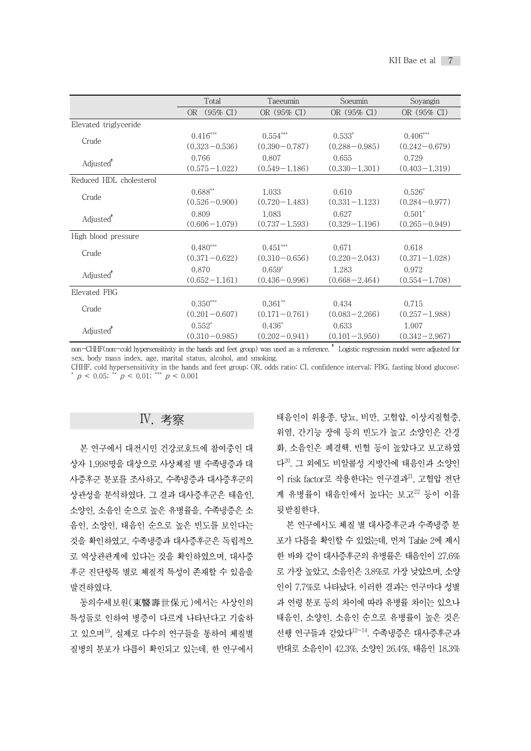|                         | Total                      | Taeeumin          | Soeumin           | Soyangin          |
|-------------------------|----------------------------|-------------------|-------------------|-------------------|
|                         | $(95\% \text{ CI})$<br>OR. | OR (95% CI)       | OR (95% CI)       | OR (95% CI)       |
| Elevated triglyceride   |                            |                   |                   |                   |
| Crude                   | $0.416***$                 | $0.554***$        | $0.533*$          | $0.406***$        |
|                         | $(0.323 - 0.536)$          | $(0.390 - 0.787)$ | $(0.288 - 0.985)$ | $(0.242 - 0.679)$ |
| Adjusted <sup>*</sup>   | 0.766                      | 0.807             | 0.655             | 0.729             |
|                         | $(0.575 - 1.022)$          | $(0.549 - 1.186)$ | $(0.330 - 1.301)$ | $(0.403 - 1.319)$ |
| Reduced HDL cholesterol |                            |                   |                   |                   |
| Crude                   | $0.688^{**}$               | 1.033             | 0.610             | $0.526*$          |
|                         | $(0.526 - 0.900)$          | $(0.720 - 1.483)$ | $(0.331 - 1.123)$ | $(0.284 - 0.977)$ |
| Adjusted <sup>*</sup>   | 0.809                      | 1.083             | 0.627             | $0.501*$          |
|                         | $(0.606 - 1.079)$          | $(0.737 - 1.593)$ | $(0.329 - 1.196)$ | $(0.265 - 0.949)$ |
| High blood pressure     |                            |                   |                   |                   |
| Crude                   | $0.480***$                 | $0.451***$        | 0.671             | 0.618             |
|                         | $(0.371 - 0.622)$          | $(0.310 - 0.656)$ | $(0.220 - 2.043)$ | $(0.371 - 1.028)$ |
| Adjusted <sup>*</sup>   | 0.870                      | $0.659*$          | 1.283             | 0.972             |
|                         | $(0.652 - 1.161)$          | $(0.436 - 0.996)$ | $(0.668 - 2.464)$ | $(0.554 - 1.708)$ |
| Elevated FBG            |                            |                   |                   |                   |
| Crude                   | $0.350***$                 | $0.361**$         | 0.434             | 0.715             |
|                         | $(0.201 - 0.607)$          | $(0.171 - 0.761)$ | $(0.083 - 2.266)$ | $(0.257 - 1.988)$ |
|                         | $0.552*$                   | $0.436*$          | 0.633             | 1.007             |
| Adjusted <sup>*</sup>   | $(0.310 - 0.985)$          | $(0.202 - 0.941)$ | $(0.101 - 3.950)$ | $(0.342 - 2.967)$ |

non-CHHF(non-cold hypersensitivity in the hands and feet group) was used as a reference. † Logistic regression model were adjusted for sex, body mass index, age, marital status, alcohol, and smoking.

CHHF, cold hypersensitivity in the hands and feet group; OR, odds ratio; CI, confidence interval; FBG, fasting blood glucose;  $p < 0.05$ ; \*\*  $p < 0.01$ ; \*\*\*  $p < 0.001$ 

# Ⅳ. 考察

본 연구에서 대전시민 건강코호트에 참여중인 대 상자 1,998명을 대상으로 사상체질 별 수족냉증과 대 사증후군 분포를 조사하고, 수족냉증과 대사증후군의 상관성을 분석하였다. 그 결과 대사증후군은 태음인, 소양인, 소음인 순으로 높은 유병률을, 수족냉증은 소 음인, 소양인, 태음인 순으로 높은 빈도를 보인다는 것을 확인하였고, 수족냉증과 대사증후군은 독립적으 로 역상관관계에 있다는 것을 확인하였으며, 대사증 후군 진단항목 별로 체질적 특성이 존재할 수 있음을 발견하였다.

동의수세보원(東醫壽世保元)에서는 사상인의 특성들로 인하여 병증이 다르게 나타난다고 기술하 고 있으며<sup>19</sup>, 실제로 다수의 연구들을 통하여 체질별 4천행 연구들과 질병의 분포가 다름이 확인되고 있는데, 한 연구에서

태음인이 위용종, 당뇨, 비만, 고혈압, 이상지질혈증, 위염, 간기능 장애 등의 빈도가 높고 소양인은 간경 화, 소음인은 폐결핵, 빈혈 등이 높았다고 보고하였 다<sup>20</sup> . 그 외에도 비알콜성 지방간에 태음인과 소양인 이 risk factor로 작용한다는 연구결과<sup>21</sup>, 고혈압 전단 계 유병률이 태음인에서 높다는 보고 $^{22}$  등이 이를 뒷받침한다.

본 연구에서도 체질 별 대사증후군과 수족냉증 분 포가 다름을 확인할 수 있었는데, 먼저 Table 2에 제시 한 바와 같이 대사증후군의 유병률은 태음인이 27.6% 로 가장 높았고, 소음인은 3.8%로 가장 낮았으며, 소양 인이 7.7%로 나타났다. 이러한 결과는 연구마다 성별 과 연령 분포 등의 차이에 따라 유병률 차이는 있으나 태음인, 소양인, 소음인 순으로 유병률이 높은 것은 선행 연구들과 같았다<sup>12–14</sup>. 수족냉증은 대사증후군과 반대로 소음인이 42.3%, 소양인 26.4%, 태음인 18.3%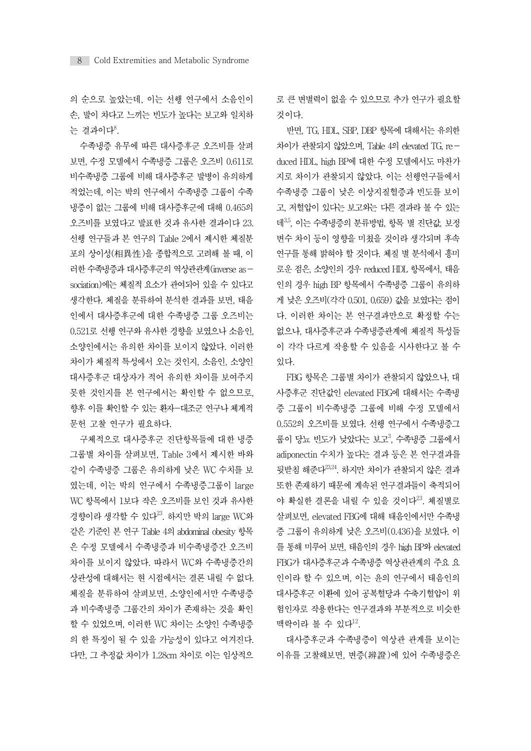의 순으로 높았는데, 이는 선행 연구에서 소음인이 손, 발이 차다고 느끼는 빈도가 높다는 보고와 일치하 는 결과이다<sup>8</sup>.

수족냉증 유무에 따른 대사증후군 오즈비를 살펴 보면, 수정 모델에서 수족냉증 그룹은 오즈비 0.611로 비수족냉증 그룹에 비해 대사증후군 발병이 유의하게 적었는데, 이는 박의 연구에서 수족냉증 그룹이 수족 냉증이 없는 그룹에 비해 대사증후군에 대해 0.465의 오즈비를 보였다고 발표한 것과 유사한 결과이다 23. 선행 연구들과 본 연구의 Table 2에서 제시한 체질분 포의 상이성(相異性)을 종합적으로 고려해 볼 때, 이 러한 수족냉증과 대사증후군의 역상관관계(inverse association)에는 체질적 요소가 관여되어 있을 수 있다고 생각한다. 체질을 분류하여 분석한 결과를 보면, 태음 인에서 대사증후군에 대한 수족냉증 그룹 오즈비는 0.521로 선행 연구와 유사한 경향을 보였으나 소음인, 소양인에서는 유의한 차이를 보이지 않았다. 이러한 차이가 체질적 특성에서 오는 것인지, 소음인, 소양인 대사증후군 대상자가 적어 유의한 차이를 보여주지 못한 것인지를 본 연구에서는 확인할 수 없으므로, 향후 이를 확인할 수 있는 환자-대조군 연구나 체계적 문헌 고찰 연구가 필요하다.

구체적으로 대사증후군 진단항목들에 대한 냉증 그룹별 차이를 살펴보면, Table 3에서 제시한 바와 같이 수족냉증 그룹은 유의하게 낮은 WC 수치를 보 였는데, 이는 박의 연구에서 수족냉증그룹이 large WC 항목에서 1보다 작은 오즈비를 보인 것과 유사한 경향이라 생각할 수 있다<sup>23</sup>. 하지만 박의 large WC와 \_\_\_\_\_ 살펴보면, ele 같은 기준인 본 연구 Table 4의 abdominal obesity 항목 은 수정 모델에서 수족냉증과 비수족냉증간 오즈비 차이를 보이지 않았다. 따라서 WC와 수족냉증간의 상관성에 대해서는 현 시점에서는 결론 내릴 수 없다. 체질을 분류하여 살펴보면, 소양인에서만 수족냉증 과 비수족냉증 그룹간의 차이가 존재하는 것을 확인 할 수 있었으며, 이러한 WC 차이는 소양인 수족냉증 의 한 특징이 될 수 있을 가능성이 있다고 여겨진다. 다만, 그 추정값 차이가 1.28cm 차이로 이는 임상적으

로 큰 변별력이 없을 수 있으므로 추가 연구가 필요할 것이다.

반면, TG, HDL, SBP, DBP 항목에 대해서는 유의한 차이가 관찰되지 않았으며, Table 4의 elevated TG, reduced HDL, high BP에 대한 수정 모델에서도 마찬가 지로 차이가 관찰되지 않았다. 이는 선행연구들에서 수족냉증 그룹이 낮은 이상지질혈증과 빈도를 보이 고, 저혈압이 있다는 보고와는 다른 결과라 볼 수 있는 데<sup>3,5</sup>, 이는 수족냉증의 분류방법, 항목 별 진단값, 보정 변수 차이 등이 영향을 미쳤을 것이라 생각되며 후속 연구를 통해 밝혀야 할 것이다. 체질 별 분석에서 흥미 로운 점은, 소양인의 경우 reduced HDL 항목에서, 태음 인의 경우 high BP 항목에서 수족냉증 그룹이 유의하 게 낮은 오즈비(각각 0.501, 0.659) 값을 보였다는 점이 다. 이러한 차이는 본 연구결과만으로 확정할 수는 없으나, 대사증후군과 수족냉증관계에 체질적 특성들 이 각각 다르게 작용할 수 있음을 시사한다고 볼 수 있다.

FBG 항목은 그룹별 차이가 관찰되지 않았으나, 대 사증후군 진단값인 elevated FBG에 대해서는 수족냉 증 그룹이 비수족냉증 그룹에 비해 수정 모델에서 0.552의 오즈비를 보였다. 선행 연구에서 수족냉증그 룹이 당뇨 빈도가 낮았다는 보고<sup>3</sup>, 수족냉증 그룹에서 adiponectin 수치가 높다는 결과 등은 본 연구결과를 뒷받침 해준다<sup>23,24</sup>. 하지만 차이가 관찰되지 않은 결과 또한 존재하기 때문에 계속된 연구결과들이 축적되어 야 확실한 결론을 내릴 수 있을 것이다<sup>23</sup>. 체질별로 살펴보면, elevated FBG에 대해 태음인에서만 수족냉 증 그룹이 유의하게 낮은 오즈비(0.436)을 보였다. 이 를통해 미루어보면, 태음인의 경우 high BP와 elevated FBG가 대사증후군과 수족냉증 역상관관계의 주요 요 인이라 할 수 있으며, 이는 윤의 연구에서 태음인의 대사증후군 이환에 있어 공복혈당과 수축기혈압이 위 험인자로 작용한다는 연구결과와 부분적으로 비슷한 맥락이라 볼 수 있다<sup>12</sup>.

대사증후군과 수족냉증이 역상관 관계를 보이는 이유를 고찰해보면, 변증(辨證)에 있어 수족냉증은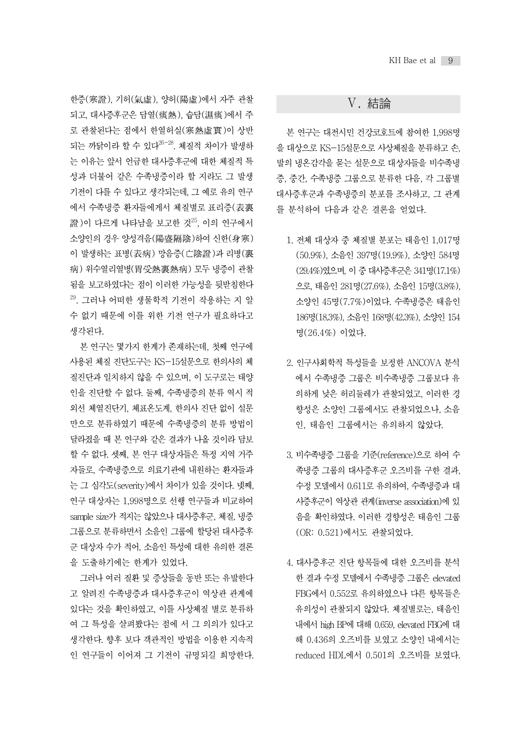한증(寒證), 기허(氣虛), 양허(陽虛)에서 자주 관찰 되고, 대사증후군은 담열(痰熱), 습담(濕痰)에서 주 로 관찰된다는 점에서 한열허실(寒熱虛實)이 상반 되는 까닭이라 할 수 있다<sup>26-28</sup>. 체질적 차이가 발생하<br> 는 이유는 앞서 언급한 대사증후군에 대한 체질적 특 성과 더불어 같은 수족냉증이라 할 지라도 그 발생 기전이 다를 수 있다고 생각되는데, 그 예로 유의 연구 에서 수족냉증 환자들에게서 체질별로 표리증(表裏 證)이 다르게 나타남을 보고한 것<sup>25</sup>, 이의 연구에서 소양인의 경우 양성격음(陽盛隔陰)하여 신한(身寒) 이 발생하는 표병(表病) 망음증(亡陰證)과 리병(裏 病) 위수열리열병(胃受熱裏熱病) 모두 냉증이 관찰 됨을 보고하였다는 점이 이러한 가능성을 뒷받침한다 29 . 그러나 어떠한 생물학적 기전이 작용하는 지 알 수 없기 때문에 이를 위한 기전 연구가 필요하다고 생각된다.

본 연구는 몇가지 한계가 존재하는데, 첫째 연구에 사용된 체질 진단도구는 KS-15설문으로 한의사의 체 질진단과 일치하지 않을 수 있으며, 이 도구로는 태양 인을 진단할 수 없다. 둘째, 수족냉증의 분류 역시 적 외선 체열진단기, 체표온도계, 한의사 진단 없이 설문 만으로 분류하였기 때문에 수족냉증의 분류 방법이 달라졌을 때 본 연구와 같은 결과가 나올 것이라 담보 할 수 없다. 셋째, 본 연구 대상자들은 특정 지역 거주 자들로, 수족냉증으로 의료기관에 내원하는 환자들과 는 그 심각도(severity)에서 차이가 있을 것이다. 넷째, 연구 대상자는 1,998명으로 선행 연구들과 비교하여 sample size가 적지는 않았으나 대사증후군, 체질, 냉증 그룹으로 분류하면서 소음인 그룹에 할당된 대사증후 군 대상자 수가 적어, 소음인 특성에 대한 유의한 결론 을 도출하기에는 한계가 있었다.

그러나 여러 질환 및 증상들을 동반 또는 유발한다 고 알려진 수족냉증과 대사증후군이 역상관 관계에 있다는 것을 확인하였고, 이를 사상체질 별로 분류하 여 그 특성을 살펴봤다는 점에 서 그 의의가 있다고 생각한다. 향후 보다 객관적인 방법을 이용한 지속적 인 연구들이 이어져 그 기전이 규명되길 희망한다.

# Ⅴ. 結論

본 연구는 대전시민 건강코호트에 참여한 1,998명 을 대상으로 KS-15설문으로 사상체질을 분류하고 손, 발의 냉온감각을 묻는 설문으로 대상자들을 비수족냉 증, 중간, 수족냉증 그룹으로 분류한 다음, 각 그룹별 대사증후군과 수족냉증의 분포를 조사하고, 그 관계 를 분석하여 다음과 같은 결론을 얻었다.

- 1. 전체 대상자 중 체질별 분포는 태음인 1,017명 (50.9%), 소음인 397명(19.9%), 소양인 584명 (29.4%)였으며, 이중대사증후군은341명(17.1%) 으로, 태음인 281명(27.6%), 소음인 15명(3.8%), 소양인 45명(7.7%)이었다. 수족냉증은 태음인 186명(18.3%), 소음인 168명(42.3%), 소양인 154 명(26.4%) 이었다.
- 2. 인구사회학적 특성들을 보정한 ANCOVA 분석 에서 수족냉증 그룹은 비수족냉증 그룹보다 유 의하게 낮은 허리둘레가 관찰되었고, 이러한 경 향성은 소양인 그룹에서도 관찰되었으나, 소음
- 3. 비수족냉증 그룹을 기준(reference)으로 하여 수 족냉증 그룹의 대사증후군 오즈비를 구한 결과, 수정 모델에서 0.611로 유의하여, 수족냉증과 대 사증후군이 역상관 관계(inverse association)에 있 음을 확인하였다. 이러한 경향성은 태음인 그룹 (OR: 0.521)에서도 관찰되었다.
- 4. 대사증후군 진단 항목들에 대한 오즈비를 분석 한 결과 수정 모델에서 수족냉증 그룹은 elevated FBG에서 0.552로 유의하였으나 다른 항목들은 유의성이 관찰되지 않았다. 체질별로는, 태음인 내에서 high BP에 대해 0.659, elevated FBG에 대 해 0.436의 오즈비를 보였고 소양인 내에서는 reduced HDL에서 0.501의 오즈비를 보였다.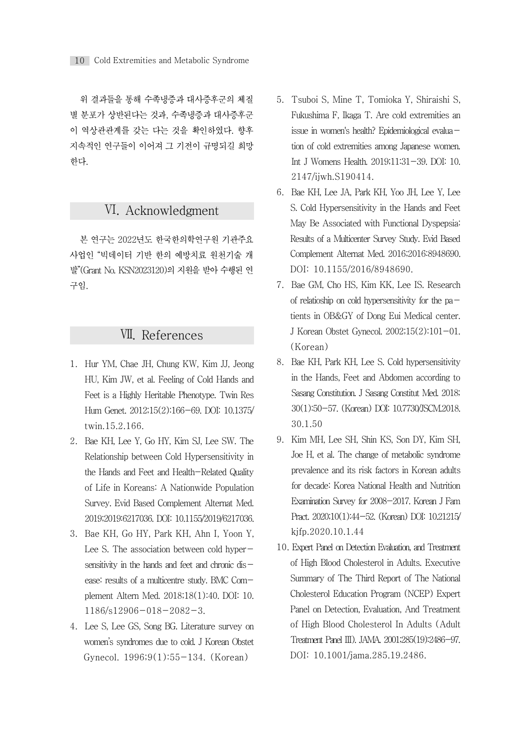위 결과들을 통해 수족냉증과 대사증후군의 체질 별 분포가 상반된다는 것과, 수족냉증과 대사증후군 이 역상관관계를 갖는 다는 것을 확인하였다. 향후 지속적인 연구들이 이어져 그 기전이 규명되길 희망 한다.

# Ⅵ. Acknowledgment

본 연구는 2022년도 한국한의학연구원 기관주요 사업인 "빅데이터 기반 한의 예방치료 원천기술 개 발"(Grant No. KSN2023120)의 지원을 받아 수행된 연 구임.

# Ⅶ. References

- 1. Hur YM, Chae JH, Chung KW, Kim JJ, Jeong HU, Kim JW, et al. Feeling of Cold Hands and Feet is a Highly Heritable Phenotype. Twin Res Hum Genet. 2012;15(2):166-69. DOI: 10.1375/ twin.15.2.166.
- 2. Bae KH, Lee Y, Go HY, Kim SJ, Lee SW. The Relationship between Cold Hypersensitivity in the Hands and Feet and Health-Related Quality of Life in Koreans: A Nationwide Population Survey. Evid Based Complement Alternat Med. 2019;2019:6217036. DOI: 10.1155/2019/6217036.
- 3. Bae KH, Go HY, Park KH, Ahn I, Yoon Y, Lee S. The association between cold hypersensitivity in the hands and feet and chronic disease: results of a multicentre study. BMC Complement Altern Med. 2018;18(1):40. DOI: 10. 1186/s12906-018-2082-3.
- 4. Lee S, Lee GS, Song BG. Literature survey on women's syndromes due to cold. J Korean Obstet Gynecol. 1996;9(1):55-134. (Korean)
- 5.Tsuboi S, Mine T, Tomioka Y, Shiraishi S, Fukushima F, Ikaga T. Are cold extremities an issue in women's health? Epidemiological evaluation of cold extremities among Japanese women. Int J Womens Health. 2019;11:31-39. DOI: 10. 2147/ijwh.S190414.
- 6. Bae KH, Lee JA, Park KH, Yoo JH, Lee Y, Lee S. Cold Hypersensitivity in the Hands and Feet May Be Associated with Functional Dyspepsia: Results of a Multicenter Survey Study. Evid Based Complement Alternat Med. 2016;2016:8948690. DOI: 10.1155/2016/8948690.
- 7. Bae GM, Cho HS, Kim KK, Lee IS. Research of relatioship on cold hypersensitivity for the patients in OB&GY of Dong Eui Medical center. J Korean Obstet Gynecol. 2002;15(2):101-01. (Korean)
- 8. Bae KH, Park KH, Lee S. Cold hypersensitivity in the Hands, Feet and Abdomen according to Sasang Constitution. J Sasang Constitut Med. 2018; 30(1):50-57. (Korean) DOI: 10.7730/JSCM.2018. 30.1.50
- 9. Kim MH, Lee SH, Shin KS, Son DY, Kim SH, Joe H, et al. The change of metabolic syndrome prevalence and its risk factors in Korean adults for decade: Korea National Health and Nutrition Examination Survey for 2008-2017. Korean J Fam Pract. 2020;10(1):44-52. (Korean) DOI: 10.21215/ kjfp.2020.10.1.44
- 10. Expert Panel on Detection Evaluation, and Treatment of High Blood Cholesterol in Adults. Executive Summary of The Third Report of The National Cholesterol Education Program (NCEP) Expert Panel on Detection, Evaluation, And Treatment of High Blood Cholesterol In Adults (Adult Treatment Panel III). JAMA. 2001;285(19):2486-97. DOI: 10.1001/jama.285.19.2486.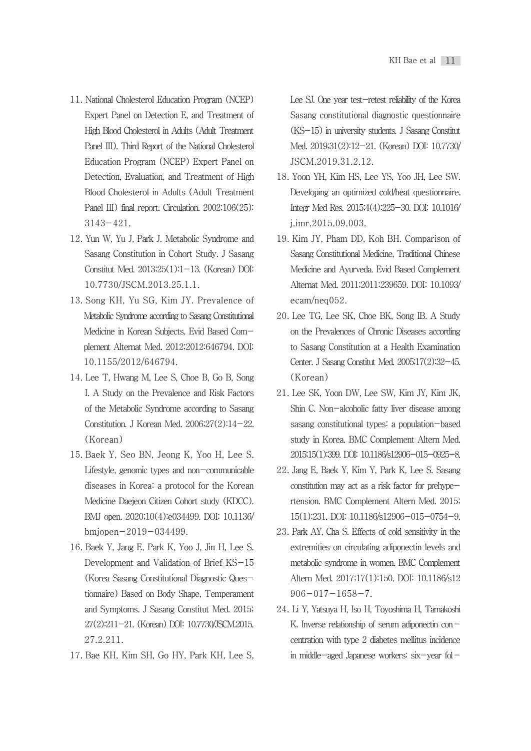- 11. National Cholesterol Education Program (NCEP) Expert Panel on Detection E, and Treatment of High Blood Cholesterol in Adults (Adult Treatment Panel III). Third Report of the National Cholesterol Education Program (NCEP) Expert Panel on Detection, Evaluation, and Treatment of High Blood Cholesterol in Adults (Adult Treatment Panel III) final report. Circulation. 2002;106(25): 3143-421.
- 12. Yun W, Yu J, Park J. Metabolic Syndrome and Sasang Constitution in Cohort Study. J Sasang Constitut Med. 2013;25(1):1-13. (Korean) DOI: 10.7730/JSCM.2013.25.1.1.
- 13. Song KH, Yu SG, Kim JY. Prevalence of Metabolic Syndrome according to Sasang Constitutional Medicine in Korean Subjects. Evid Based Complement Alternat Med. 2012;2012:646794. DOI: 10.1155/2012/646794.
- 14. Lee T, Hwang M, Lee S, Choe B, Go B, Song I. A Study on the Prevalence and Risk Factors of the Metabolic Syndrome according to Sasang Constitution. J Korean Med. 2006;27(2):14-22. (Korean)
- 15. Baek Y, Seo BN, Jeong K, Yoo H, Lee S. Lifestyle, genomic types and non-communicable diseases in Korea: a protocol for the Korean Medicine Daejeon Citizen Cohort study (KDCC). BMJ open. 2020;10(4):e034499. DOI: 10.1136/ bmjopen-2019-034499.
- 16. Baek Y, Jang E, Park K, Yoo J, Jin H, Lee S. Development and Validation of Brief KS-15 (Korea Sasang Constitutional Diagnostic Questionnaire) Based on Body Shape, Temperament and Symptoms. J Sasang Constitut Med. 2015; 27(2):211-21. (Korean) DOI: 10.7730/JSCM.2015. 27.2.211.
- 17. Bae KH, Kim SH, Go HY, Park KH, Lee S,

Lee SJ. One year test-retest reliability of the Korea Sasang constitutional diagnostic questionnaire (KS-15) in university students. J Sasang Constitut Med. 2019;31(2):12-21. (Korean) DOI: 10.7730/ JSCM.2019.31.2.12.

- 18. Yoon YH, Kim HS, Lee YS, Yoo JH, Lee SW. Developing an optimized cold/heat questionnaire. Integr Med Res. 2015;4(4):225-30. DOI: 10.1016/ j.imr.2015.09.003.
- 19. Kim JY, Pham DD, Koh BH. Comparison of Sasang Constitutional Medicine, Traditional Chinese Medicine and Ayurveda. Evid Based Complement Alternat Med. 2011;2011:239659. DOI: 10.1093/ ecam/neq052.
- 20. Lee TG, Lee SK, Choe BK, Song IB. A Study on the Prevalences of Chronic Diseases according to Sasang Constitution at a Health Examination Center. J Sasang Constitut Med. 2005;17(2):32-45. (Korean)
- 21. Lee SK, Yoon DW, Lee SW, Kim JY, Kim JK, Shin C. Non-alcoholic fatty liver disease among sasang constitutional types: a population-based study in Korea. BMC Complement Altern Med. 2015;15(1):399. DOI: 10.1186/s12906-015-0925-8.
- 22. Jang E, Baek Y, Kim Y, Park K, Lee S. Sasang constitution may act as a risk factor for prehypertension. BMC Complement Altern Med. 2015; 15(1):231. DOI: 10.1186/s12906-015-0754-9.
- 23. Park AY, Cha S. Effects of cold sensitivity in the extremities on circulating adiponectin levels and metabolic syndrome in women. BMC Complement Altern Med. 2017;17(1):150. DOI: 10.1186/s12  $906 - 017 - 1658 - 7$ .
- 24. Li Y, Yatsuya H, Iso H, Toyoshima H, Tamakoshi K. Inverse relationship of serum adiponectin con $$ centration with type 2 diabetes mellitus incidence in middle-aged Japanese workers: six-year fol-